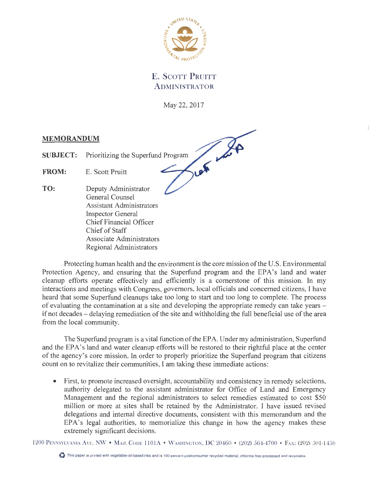

## E. SCOTT PRUITT ADMINISTRATOR

May 22, 2017

## **MEMORANDUM**

SUBJECT: Prioritizing the Superfund Program<br>FROM: E. Scott Pruitt

**FROM:** E. Scott Pruitt

**TO:** Deputy Administrator General Counsel Assistant Administrators Inspector General Chief Financial Officer Chief of Staff Associate Administrators Regional Administrators

Protecting human health and the environment is the core mission of the U.S. Environmental Protection Agency, and ensuring that the Superfund program and the EPA's land and water cleanup efforts operate effectively and efficiently is a cornerstone of this mission. In my interactions and meetings with Congress, governors, local officials and concerned citizens, I have heard that some Superfund cleanups take too long to start and too long to complete. The process of evaluating the contamination at a site and developing the appropriate remedy can take years if not decades – delaying remediation of the site and withholding the full beneficial use of the area from the local community.

The Superfund program is a vital function of the EPA. Under my administration, Superfund and the EPA's land and water cleanup efforts will be restored to their rightful place at the center of the agency's core mission. In order to properly prioritize the Superfund program that citizens count on to revitalize their communities, I am taking these immediate actions:

First, to promote increased oversight, accountability and consistency in remedy selections, authority delegated to the assistant administrator for Office of Land and Emergency Management and the regional administrators to select remedies estimated to cost \$50 million or more at sites shall be retained by the Administrator. I have issued revised delegations and internal directive documents, consistent with this memorandum and the EPA's legal authorities, to memorialize this change in how the agency makes these extremely significant decisions.

1200 PENNSYLVANIA AVE NW • MAIL CODE 1101A • WASHINGTON, DC 2046C • (202) 564-4700 • FAX: (202) 501-1450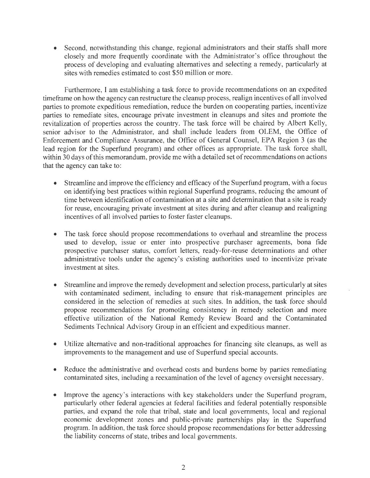• Second, notwithstanding this change, regional administrators and their staffs shall more closely and more frequently coordinate with the Administrator's office throughout the process of developing and evaluating alternatives and selecting a remedy, particularly at sites with remedies estimated to cost \$50 million or more.

Furthermore, I am establishing a task force to provide recommendations on an expedited timeframe on how the agency can restructure the cleanup process, realign incentives of all involved parties to promote expeditious remediation, reduce the burden on cooperating parties, incentivize parties to remediate sites, encourage private investment in cleanups and sites and promote the revitalization of properties across the country. The task force will be chaired by Albert Kelly, senior advisor to the Administrator, and shall include leaders from OLEM, the Office of Enforcement and Compliance Assurance, the Office of General Counsel, EPA Region 3 ( as the lead region for the Superfund program) and other offices as appropriate. The task force shall, within 30 days of this memorandum, provide me with a detailed set of recommendations on actions that the agency can take to:

- Streamline and improve the efficiency and efficacy of the Superfund program, with a focus on identifying best practices within regional Superfund programs, reducing the amount of time between identification of contamination at a site and determination that a site is ready for reuse, encouraging private investment at sites during and after cleanup and realigning incentives of all involved parties to foster faster cleanups.
- The task force should propose recommendations to overhaul and streamline the process used to develop, issue or enter into prospective purchaser agreements, bona fide prospective purchaser status, comfort letters, ready-for-reuse determinations and other administrative tools under the agency's existing authorities used to incentivize private investment at sites.
- Streamline and improve the remedy development and selection process, particularly at sites with contaminated sediment, including to ensure that risk-management principles are considered in the selection of remedies at such sites. In addition, the task force should propose recommendations for promoting consistency in remedy selection and more effective utilization of the National Remedy Review Board and the Contaminated Sediments Technical Advisory Group in an efficient and expeditious manner.
- Utilize alternative and non-traditional approaches for financing site cleanups, as well as improvements to the management and use of Superfund special accounts.
- Reduce the administrative and overhead costs and burdens borne by parties remediating contaminated sites, including a reexamination of the level of agency oversight necessary.
- Improve the agency's interactions with key stakeholders under the Superfund program, particularly other federal agencies at federal facilities and federal potentially responsible parties, and expand the role that tribal, state and local governments, local and regional economic development zones and public-private partnerships play in the Superfund program. In addition, the task force should propose recommendations for better addressing the liability concerns of state, tribes and local governments.